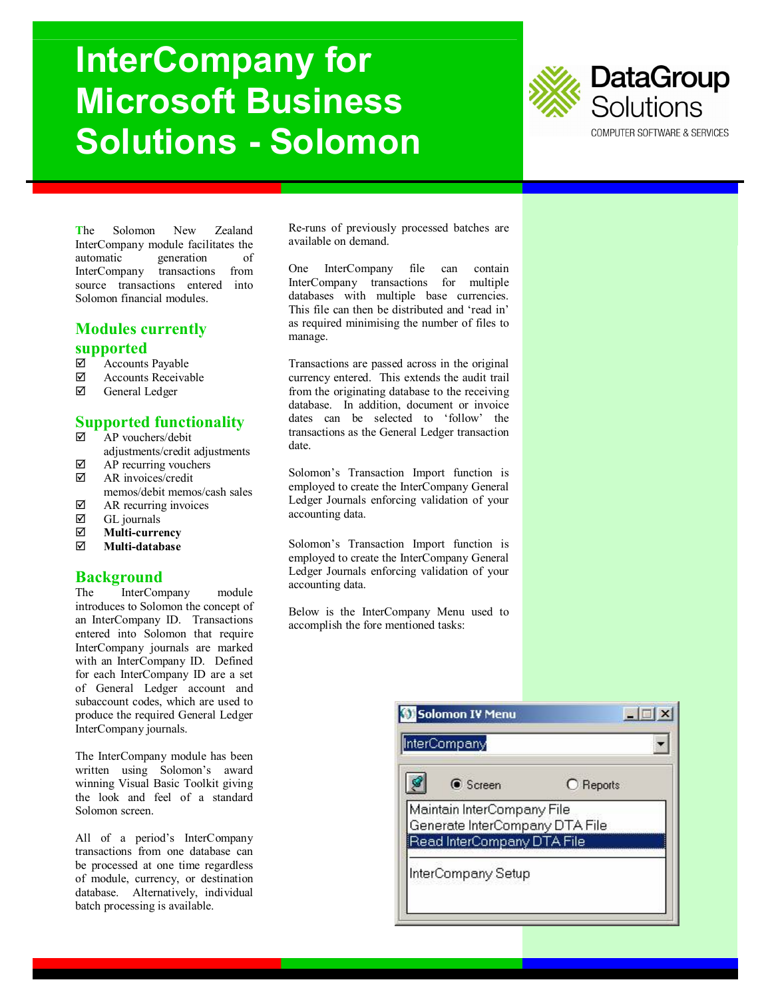# **InterCompany for Microsoft Business Solutions - Solomon**



**T**he Solomon New Zealand InterCompany module facilitates the automatic generation of InterCompany transactions from source transactions entered into Solomon financial modules.

#### **Modules currently supported**

- Accounts Payable
- 
- $\boxtimes$  Accounts Receivable<br> $\boxtimes$  General Ledger General Ledger

## **Supported functionality**

- $\overline{\mathsf{P}}$  AP vouchers/debit adjustments/credit adjustments
- $\boxtimes$  AP recurring vouchers<br>  $\boxtimes$  AR invoices/credit
- AR invoices/credit memos/debit memos/cash sales
- $\boxtimes$  AR recurring invoices
- 
- **Ø** GL journals<br>**Ø** Multi-curre **Multi-currency**
- **Multi-database**

#### **Background**

The InterCompany module introduces to Solomon the concept of an InterCompany ID. Transactions entered into Solomon that require InterCompany journals are marked with an InterCompany ID. Defined for each InterCompany ID are a set of General Ledger account and subaccount codes, which are used to produce the required General Ledger InterCompany journals.

The InterCompany module has been written using Solomon's award winning Visual Basic Toolkit giving the look and feel of a standard Solomon screen.

All of a period's InterCompany transactions from one database can be processed at one time regardless of module, currency, or destination database. Alternatively, individual batch processing is available.

Re-runs of previously processed batches are available on demand.

One InterCompany file can contain InterCompany transactions for multiple databases with multiple base currencies. This file can then be distributed and 'read in' as required minimising the number of files to manage.

Transactions are passed across in the original currency entered. This extends the audit trail from the originating database to the receiving database. In addition, document or invoice dates can be selected to 'follow' the transactions as the General Ledger transaction date.

Solomon's Transaction Import function is employed to create the InterCompany General Ledger Journals enforcing validation of your accounting data.

Solomon's Transaction Import function is employed to create the InterCompany General Ledger Journals enforcing validation of your accounting data.

Below is the InterCompany Menu used to accomplish the fore mentioned tasks:

| <b>●</b> Screen                                              | C Reports |
|--------------------------------------------------------------|-----------|
| Maintain InterCompany File                                   |           |
| Generate InterCompany DTA File<br>Read InterCompany DTA File |           |
|                                                              |           |